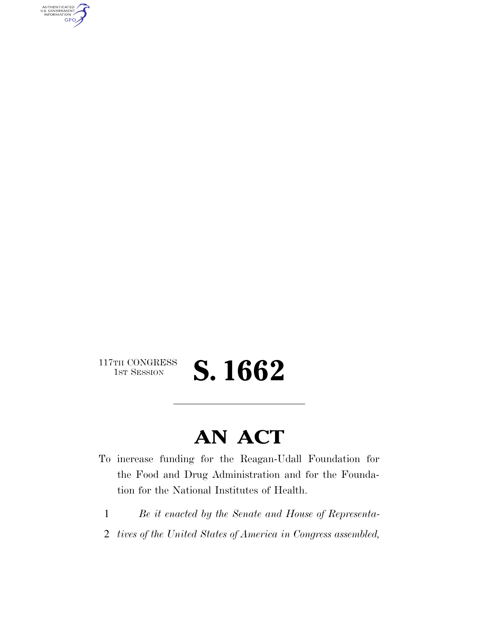AUTHENTICATED<br>U.S. GOVERNMENT<br>INFORMATION **GPO** 

117TH CONGRESS<br>1st Session

S. 1662

## **AN ACT**

- To increase funding for the Reagan-Udall Foundation for the Food and Drug Administration and for the Foundation for the National Institutes of Health.
	- 1 *Be it enacted by the Senate and House of Representa-*
- 2 *tives of the United States of America in Congress assembled,*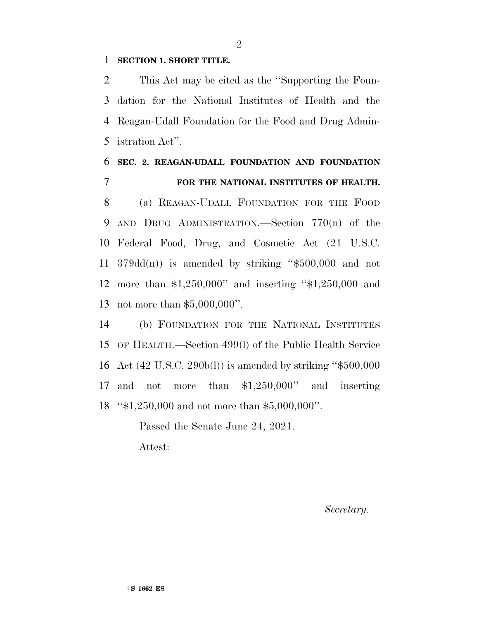## **SECTION 1. SHORT TITLE.**

 This Act may be cited as the ''Supporting the Foun- dation for the National Institutes of Health and the Reagan-Udall Foundation for the Food and Drug Admin-istration Act''.

## **SEC. 2. REAGAN-UDALL FOUNDATION AND FOUNDATION FOR THE NATIONAL INSTITUTES OF HEALTH.**

 (a) REAGAN-UDALL FOUNDATION FOR THE FOOD AND DRUG ADMINISTRATION.—Section 770(n) of the Federal Food, Drug, and Cosmetic Act (21 U.S.C.  $379d(d(n))$  is amended by striking "\$500,000 and not more than \$1,250,000'' and inserting ''\$1,250,000 and not more than \$5,000,000''.

 (b) FOUNDATION FOR THE NATIONAL INSTITUTES OF HEALTH.—Section 499(l) of the Public Health Service Act (42 U.S.C. 290b(l)) is amended by striking ''\$500,000 and not more than \$1,250,000'' and inserting ''\$1,250,000 and not more than \$5,000,000''.

> Passed the Senate June 24, 2021. Attest:

> > *Secretary.*